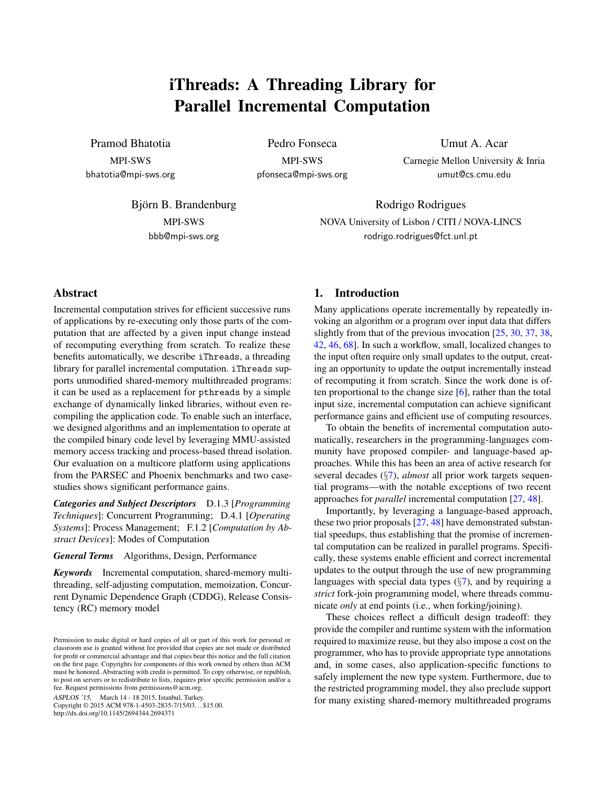# iThreads: A Threading Library for Parallel Incremental Computation

Pramod Bhatotia MPI-SWS bhatotia@mpi-sws.org

Pedro Fonseca MPI-SWS pfonseca@mpi-sws.org Umut A. Acar

Carnegie Mellon University & Inria umut@cs.cmu.edu

Björn B. Brandenburg MPI-SWS bbb@mpi-sws.org

NOVA University of Lisbon / CITI / NOVA-LINCS rodrigo.rodrigues@fct.unl.pt

Rodrigo Rodrigues

# Abstract

Incremental computation strives for efficient successive runs of applications by re-executing only those parts of the computation that are affected by a given input change instead of recomputing everything from scratch. To realize these benefits automatically, we describe iThreads, a threading library for parallel incremental computation. iThreads supports unmodified shared-memory multithreaded programs: it can be used as a replacement for pthreads by a simple exchange of dynamically linked libraries, without even recompiling the application code. To enable such an interface, we designed algorithms and an implementation to operate at the compiled binary code level by leveraging MMU-assisted memory access tracking and process-based thread isolation. Our evaluation on a multicore platform using applications from the PARSEC and Phoenix benchmarks and two casestudies shows significant performance gains.

*Categories and Subject Descriptors* D.1.3 [*Programming Techniques*]: Concurrent Programming; D.4.1 [*Operating Systems*]: Process Management; F.1.2 [*Computation by Abstract Devices*]: Modes of Computation

#### *General Terms* Algorithms, Design, Performance

*Keywords* Incremental computation, shared-memory multithreading, self-adjusting computation, memoization, Concurrent Dynamic Dependence Graph (CDDG), Release Consistency (RC) memory model

ASPLOS '15, March 14 - 18 2015, Istanbul, Turkey.

Copyright © 2015 ACM 978-1-4503-2835-7/15/03. . . \$15.00. http://dx.doi.org/10.1145/2694344.2694371

## 1. Introduction

Many applications operate incrementally by repeatedly invoking an algorithm or a program over input data that differs slightly from that of the previous invocation [\[25,](#page-12-0) [30,](#page-12-1) [37,](#page-13-0) [38,](#page-13-1) [42,](#page-13-2) [46,](#page-13-3) [68\]](#page-14-0). In such a workflow, small, localized changes to the input often require only small updates to the output, creating an opportunity to update the output incrementally instead of recomputing it from scratch. Since the work done is often proportional to the change size [\[6\]](#page-12-2), rather than the total input size, incremental computation can achieve significant performance gains and efficient use of computing resources.

To obtain the benefits of incremental computation automatically, researchers in the programming-languages community have proposed compiler- and language-based approaches. While this has been an area of active research for several decades (§[7\)](#page-10-0), *almost* all prior work targets sequential programs—with the notable exceptions of two recent approaches for *parallel* incremental computation [\[27,](#page-12-3) [48\]](#page-13-4).

Importantly, by leveraging a language-based approach, these two prior proposals [\[27,](#page-12-3) [48\]](#page-13-4) have demonstrated substantial speedups, thus establishing that the promise of incremental computation can be realized in parallel programs. Specifically, these systems enable efficient and correct incremental updates to the output through the use of new programming languages with special data types  $(\frac{6}{3})$ , and by requiring a *strict* fork-join programming model, where threads communicate *only* at end points (i.e., when forking/joining).

These choices reflect a difficult design tradeoff: they provide the compiler and runtime system with the information required to maximize reuse, but they also impose a cost on the programmer, who has to provide appropriate type annotations and, in some cases, also application-specific functions to safely implement the new type system. Furthermore, due to the restricted programming model, they also preclude support for many existing shared-memory multithreaded programs

Permission to make digital or hard copies of all or part of this work for personal or classroom use is granted without fee provided that copies are not made or distributed for profit or commercial advantage and that copies bear this notice and the full citation on the first page. Copyrights for components of this work owned by others than ACM must be honored. Abstracting with credit is permitted. To copy otherwise, or republish, to post on servers or to redistribute to lists, requires prior specific permission and/or a fee. Request permissions from permissions@acm.org.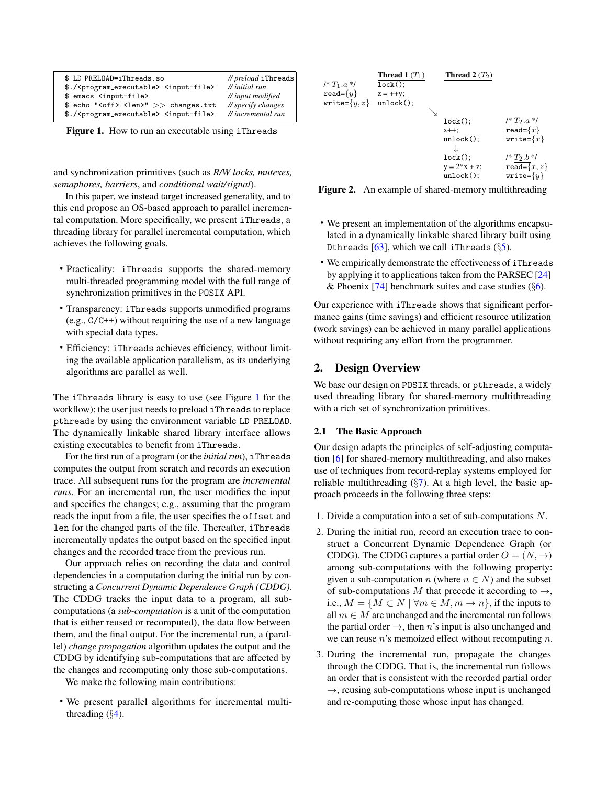| \$ LD_PRELOAD=iThreads.so                                                | $\mathcal{N}$ preload iThreads |
|--------------------------------------------------------------------------|--------------------------------|
| \$./ <program_executable> <input-file></input-file></program_executable> | // initial run                 |
| \$ emacs <input-file></input-file>                                       | // input modified              |
| \$ echo " <off> <len>" &gt;&gt; changes.txt</len></off>                  | // specify changes             |
| \$./ <program_executable> <input-file></input-file></program_executable> | // incremental run             |

<span id="page-1-0"></span>Figure 1. How to run an executable using iThreads

and synchronization primitives (such as *R/W locks, mutexes, semaphores, barriers*, and *conditional wait/signal*).

In this paper, we instead target increased generality, and to this end propose an OS-based approach to parallel incremental computation. More specifically, we present iThreads, a threading library for parallel incremental computation, which achieves the following goals.

- Practicality: iThreads supports the shared-memory multi-threaded programming model with the full range of synchronization primitives in the POSIX API.
- Transparency: iThreads supports unmodified programs (e.g., C/C++) without requiring the use of a new language with special data types.
- Efficiency: iThreads achieves efficiency, without limiting the available application parallelism, as its underlying algorithms are parallel as well.

The iThreads library is easy to use (see Figure [1](#page-1-0) for the workflow): the user just needs to preload iThreads to replace pthreads by using the environment variable LD PRELOAD. The dynamically linkable shared library interface allows existing executables to benefit from iThreads.

For the first run of a program (or the *initial run*), iThreads computes the output from scratch and records an execution trace. All subsequent runs for the program are *incremental runs*. For an incremental run, the user modifies the input and specifies the changes; e.g., assuming that the program reads the input from a file, the user specifies the offset and len for the changed parts of the file. Thereafter, iThreads incrementally updates the output based on the specified input changes and the recorded trace from the previous run.

Our approach relies on recording the data and control dependencies in a computation during the initial run by constructing a *Concurrent Dynamic Dependence Graph (CDDG)*. The CDDG tracks the input data to a program, all subcomputations (a *sub-computation* is a unit of the computation that is either reused or recomputed), the data flow between them, and the final output. For the incremental run, a (parallel) *change propagation* algorithm updates the output and the CDDG by identifying sub-computations that are affected by the changes and recomputing only those sub-computations.

We make the following main contributions:

• We present parallel algorithms for incremental multithreading  $(\S 4)$  $(\S 4)$ .



<span id="page-1-1"></span>

- We present an implementation of the algorithms encapsulated in a dynamically linkable shared library built using Dthreads  $[63]$ , which we call iThreads  $(\S5)$  $(\S5)$ .
- We empirically demonstrate the effectiveness of iThreads by applying it to applications taken from the PARSEC [\[24\]](#page-12-4) & Phoenix [\[74\]](#page-14-2) benchmark suites and case studies  $(\S6)$  $(\S6)$ .

Our experience with iThreads shows that significant performance gains (time savings) and efficient resource utilization (work savings) can be achieved in many parallel applications without requiring any effort from the programmer.

# 2. Design Overview

We base our design on POSIX threads, or pthreads, a widely used threading library for shared-memory multithreading with a rich set of synchronization primitives.

## 2.1 The Basic Approach

Our design adapts the principles of self-adjusting computation [\[6\]](#page-12-2) for shared-memory multithreading, and also makes use of techniques from record-replay systems employed for reliable multithreading  $(\S7)$  $(\S7)$ . At a high level, the basic approach proceeds in the following three steps:

- 1. Divide a computation into a set of sub-computations N.
- 2. During the initial run, record an execution trace to construct a Concurrent Dynamic Dependence Graph (or CDDG). The CDDG captures a partial order  $O = (N, \rightarrow)$ among sub-computations with the following property: given a sub-computation n (where  $n \in N$ ) and the subset of sub-computations M that precede it according to  $\rightarrow$ , i.e.,  $M = \{M \subset N \mid \forall m \in M, m \rightarrow n\}$ , if the inputs to all  $m \in M$  are unchanged and the incremental run follows the partial order  $\rightarrow$ , then *n*'s input is also unchanged and we can reuse  $n$ 's memoized effect without recomputing  $n$ .
- 3. During the incremental run, propagate the changes through the CDDG. That is, the incremental run follows an order that is consistent with the recorded partial order  $\rightarrow$ , reusing sub-computations whose input is unchanged and re-computing those whose input has changed.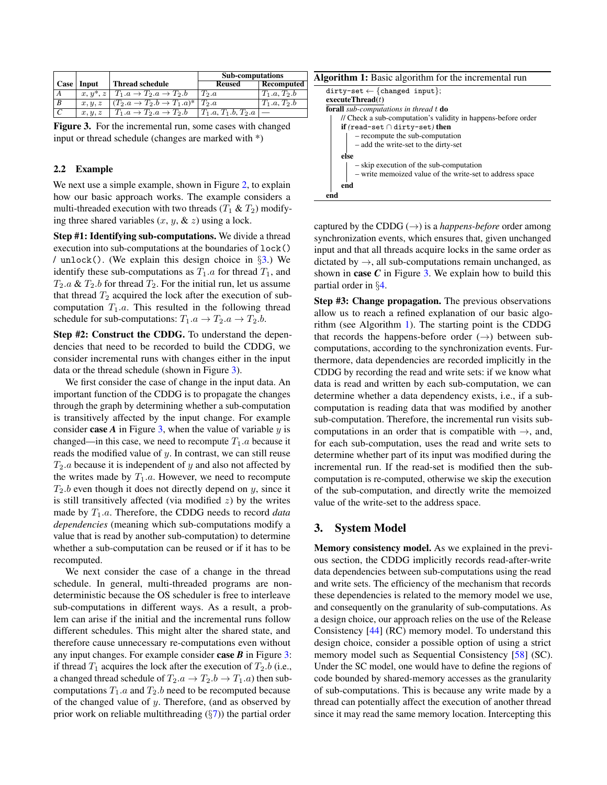|                  |              |                                                            | Sub-computations      |                |  |
|------------------|--------------|------------------------------------------------------------|-----------------------|----------------|--|
|                  | Case   Input | <b>Thread schedule</b>                                     | <b>Reused</b>         | Recomputed     |  |
|                  |              | $x, y^*, z \mid T_1.a \rightarrow T_2.a \rightarrow T_2.b$ | $T_2.a$               | $T_1.a. T_2.b$ |  |
| $\boldsymbol{B}$ | x, y, z      | $(T_2.a \rightarrow T_2.b \rightarrow T_1.a)^*$            | $T_2.a$               | $T_1.a. T_2.b$ |  |
|                  | x, y, z      | $T_1.a \rightarrow T_2.a \rightarrow T_2.b$                | $T_1.a, T_1.b, T_2.a$ |                |  |

<span id="page-2-1"></span>Figure 3. For the incremental run, some cases with changed input or thread schedule (changes are marked with \*)

## 2.2 Example

We next use a simple example, shown in Figure [2,](#page-1-1) to explain how our basic approach works. The example considers a multi-threaded execution with two threads  $(T_1 \& T_2)$  modifying three shared variables  $(x, y, \& z)$  using a lock.

Step #1: Identifying sub-computations. We divide a thread execution into sub-computations at the boundaries of lock() / unlock(). (We explain this design choice in  $\S$ [3.](#page-2-0)) We identify these sub-computations as  $T_1.a$  for thread  $T_1$ , and  $T_2.a \& T_2.b$  for thread  $T_2$ . For the initial run, let us assume that thread  $T_2$  acquired the lock after the execution of subcomputation  $T_1.a$ . This resulted in the following thread schedule for sub-computations:  $T_1.a \rightarrow T_2.a \rightarrow T_2.b$ .

Step #2: Construct the CDDG. To understand the dependencies that need to be recorded to build the CDDG, we consider incremental runs with changes either in the input data or the thread schedule (shown in Figure [3\)](#page-2-1).

We first consider the case of change in the input data. An important function of the CDDG is to propagate the changes through the graph by determining whether a sub-computation is transitively affected by the input change. For example consider **case**  $A$  in Figure [3,](#page-2-1) when the value of variable  $y$  is changed—in this case, we need to recompute  $T_1.a$  because it reads the modified value of y. In contrast, we can still reuse  $T_2.a$  because it is independent of y and also not affected by the writes made by  $T_1.a$ . However, we need to recompute  $T_2.b$  even though it does not directly depend on y, since it is still transitively affected (via modified  $z$ ) by the writes made by  $T_1.a$ . Therefore, the CDDG needs to record *data dependencies* (meaning which sub-computations modify a value that is read by another sub-computation) to determine whether a sub-computation can be reused or if it has to be recomputed.

We next consider the case of a change in the thread schedule. In general, multi-threaded programs are nondeterministic because the OS scheduler is free to interleave sub-computations in different ways. As a result, a problem can arise if the initial and the incremental runs follow different schedules. This might alter the shared state, and therefore cause unnecessary re-computations even without any input changes. For example consider case *B* in Figure [3:](#page-2-1) if thread  $T_1$  acquires the lock after the execution of  $T_2.b$  (i.e., a changed thread schedule of  $T_2.a \to T_2.b \to T_1.a$ ) then subcomputations  $T_1.a$  and  $T_2.b$  need to be recomputed because of the changed value of  $y$ . Therefore, (and as observed by prior work on reliable multithreading  $(\frac{6}{3})$  the partial order

<span id="page-2-2"></span>Algorithm 1: Basic algorithm for the incremental run

| dirty-set $\leftarrow \{\text{changed input}\};$<br>executeThread(t) |
|----------------------------------------------------------------------|
| <b>forall</b> sub-computations in thread t <b>do</b>                 |
| // Check a sub-computation's validity in happens-before order        |
| if (read-set $\cap$ dirty-set) then                                  |
| - recompute the sub-computation                                      |
| - add the write-set to the dirty-set                                 |
| else                                                                 |
| - skip execution of the sub-computation                              |
| - write memoized value of the write-set to address space             |
| end                                                                  |
|                                                                      |

captured by the CDDG  $(\rightarrow)$  is a *happens-before* order among synchronization events, which ensures that, given unchanged input and that all threads acquire locks in the same order as dictated by  $\rightarrow$ , all sub-computations remain unchanged, as shown in **case**  $C$  in Figure [3.](#page-2-1) We explain how to build this partial order in §[4.](#page-3-0)

Step #3: Change propagation. The previous observations allow us to reach a refined explanation of our basic algorithm (see Algorithm [1\)](#page-2-2). The starting point is the CDDG that records the happens-before order  $(\rightarrow)$  between subcomputations, according to the synchronization events. Furthermore, data dependencies are recorded implicitly in the CDDG by recording the read and write sets: if we know what data is read and written by each sub-computation, we can determine whether a data dependency exists, i.e., if a subcomputation is reading data that was modified by another sub-computation. Therefore, the incremental run visits subcomputations in an order that is compatible with  $\rightarrow$ , and, for each sub-computation, uses the read and write sets to determine whether part of its input was modified during the incremental run. If the read-set is modified then the subcomputation is re-computed, otherwise we skip the execution of the sub-computation, and directly write the memoized value of the write-set to the address space.

## <span id="page-2-0"></span>3. System Model

Memory consistency model. As we explained in the previous section, the CDDG implicitly records read-after-write data dependencies between sub-computations using the read and write sets. The efficiency of the mechanism that records these dependencies is related to the memory model we use, and consequently on the granularity of sub-computations. As a design choice, our approach relies on the use of the Release Consistency [\[44\]](#page-13-5) (RC) memory model. To understand this design choice, consider a possible option of using a strict memory model such as Sequential Consistency [\[58\]](#page-14-3) (SC). Under the SC model, one would have to define the regions of code bounded by shared-memory accesses as the granularity of sub-computations. This is because any write made by a thread can potentially affect the execution of another thread since it may read the same memory location. Intercepting this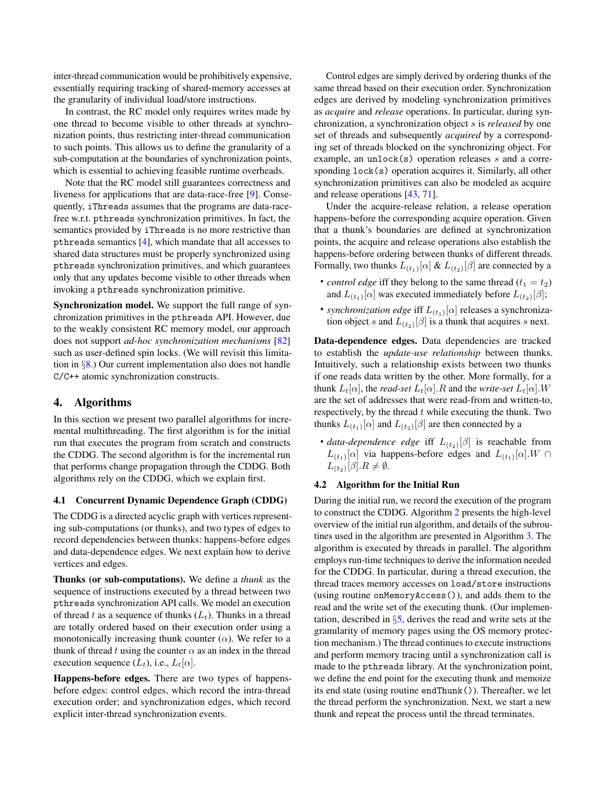inter-thread communication would be prohibitively expensive, essentially requiring tracking of shared-memory accesses at the granularity of individual load/store instructions.

In contrast, the RC model only requires writes made by one thread to become visible to other threads at synchronization points, thus restricting inter-thread communication to such points. This allows us to define the granularity of a sub-computation at the boundaries of synchronization points, which is essential to achieving feasible runtime overheads.

Note that the RC model still guarantees correctness and liveness for applications that are data-race-free [\[9\]](#page-12-5). Consequently, iThreads assumes that the programs are data-racefree w.r.t. pthreads synchronization primitives. In fact, the semantics provided by iThreads is no more restrictive than pthreads semantics [\[4\]](#page-12-6), which mandate that all accesses to shared data structures must be properly synchronized using pthreads synchronization primitives, and which guarantees only that any updates become visible to other threads when invoking a pthreads synchronization primitive.

Synchronization model. We support the full range of synchronization primitives in the pthreads API. However, due to the weakly consistent RC memory model, our approach does not support *ad-hoc synchronization mechanisms* [\[82\]](#page-14-4) such as user-defined spin locks. (We will revisit this limitation in  $\S$ [8.](#page-11-0)) Our current implementation also does not handle C/C++ atomic synchronization constructs.

# <span id="page-3-0"></span>4. Algorithms

In this section we present two parallel algorithms for incremental multithreading. The first algorithm is for the initial run that executes the program from scratch and constructs the CDDG. The second algorithm is for the incremental run that performs change propagation through the CDDG. Both algorithms rely on the CDDG, which we explain first.

## 4.1 Concurrent Dynamic Dependence Graph (CDDG)

The CDDG is a directed acyclic graph with vertices representing sub-computations (or thunks), and two types of edges to record dependencies between thunks: happens-before edges and data-dependence edges. We next explain how to derive vertices and edges.

Thunks (or sub-computations). We define a *thunk* as the sequence of instructions executed by a thread between two pthreads synchronization API calls. We model an execution of thread t as a sequence of thunks  $(L_t)$ . Thunks in a thread are totally ordered based on their execution order using a monotonically increasing thunk counter  $(\alpha)$ . We refer to a thunk of thread t using the counter  $\alpha$  as an index in the thread execution sequence  $(L_t)$ , i.e.,  $L_t[\alpha]$ .

Happens-before edges. There are two types of happensbefore edges: control edges, which record the intra-thread execution order; and synchronization edges, which record explicit inter-thread synchronization events.

Control edges are simply derived by ordering thunks of the same thread based on their execution order. Synchronization edges are derived by modeling synchronization primitives as *acquire* and *release* operations. In particular, during synchronization, a synchronization object s is *released* by one set of threads and subsequently *acquired* by a corresponding set of threads blocked on the synchronizing object. For example, an unlock(s) operation releases s and a corresponding lock(s) operation acquires it. Similarly, all other synchronization primitives can also be modeled as acquire and release operations [\[43,](#page-13-6) [71\]](#page-14-5).

Under the acquire-release relation, a release operation happens-before the corresponding acquire operation. Given that a thunk's boundaries are defined at synchronization points, the acquire and release operations also establish the happens-before ordering between thunks of different threads. Formally, two thunks  $L_{(t_1)}[\alpha] \& L_{(t_2)}[\beta]$  are connected by a

- *control edge* iff they belong to the same thread  $(t_1 = t_2)$ and  $L_{(t_1)}[\alpha]$  was executed immediately before  $L_{(t_2)}[\beta]$ ;
- *synchronization edge* iff  $L_{(t_1)}[\alpha]$  releases a synchronization object s and  $L_{(t_2)}[\beta]$  is a thunk that acquires s next.

Data-dependence edges. Data dependencies are tracked to establish the *update-use relationship* between thunks. Intuitively, such a relationship exists between two thunks if one reads data written by the other. More formally, for a thunk  $L_t[\alpha]$ , the *read-set*  $L_t[\alpha]$ . R and the *write-set*  $L_t[\alpha]$ . W are the set of addresses that were read-from and written-to, respectively, by the thread  $t$  while executing the thunk. Two thunks  $L_{(t_1)}[\alpha]$  and  $L_{(t_2)}[\beta]$  are then connected by a

• *data-dependence edge* iff  $L_{(t_2)}[\beta]$  is reachable from  $L_{(t_1)}[\alpha]$  via happens-before edges and  $L_{(t_1)}[\alpha]$ . W  $\cap$  $L_{(t_2)}[\beta].R \neq \emptyset.$ 

## 4.2 Algorithm for the Initial Run

During the initial run, we record the execution of the program to construct the CDDG. Algorithm [2](#page-4-0) presents the high-level overview of the initial run algorithm, and details of the subroutines used in the algorithm are presented in Algorithm [3.](#page-4-1) The algorithm is executed by threads in parallel. The algorithm employs run-time techniques to derive the information needed for the CDDG. In particular, during a thread execution, the thread traces memory accesses on load/store instructions (using routine onMemoryAccess()), and adds them to the read and the write set of the executing thunk. (Our implementation, described in §[5,](#page-6-0) derives the read and write sets at the granularity of memory pages using the OS memory protection mechanism.) The thread continues to execute instructions and perform memory tracing until a synchronization call is made to the pthreads library. At the synchronization point, we define the end point for the executing thunk and memoize its end state (using routine endThunk()). Thereafter, we let the thread perform the synchronization. Next, we start a new thunk and repeat the process until the thread terminates.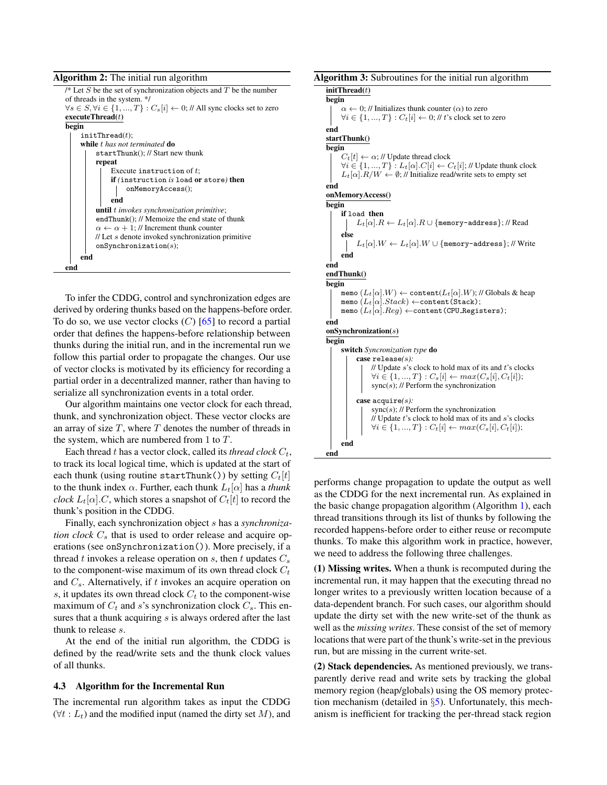#### <span id="page-4-0"></span>Algorithm 2: The initial run algorithm

| /* Let S be the set of synchronization objects and T be the number                                        |  |  |  |  |
|-----------------------------------------------------------------------------------------------------------|--|--|--|--|
| of threads in the system. */                                                                              |  |  |  |  |
| $\forall s \in S, \forall i \in \{1, , T\} : C_s[i] \leftarrow 0; \text{ // All sync clocks set to zero}$ |  |  |  |  |
| executeThread(t)                                                                                          |  |  |  |  |
| begin                                                                                                     |  |  |  |  |
| initThread(t);                                                                                            |  |  |  |  |
| while t has not terminated do                                                                             |  |  |  |  |
| $startThunk();$ // Start new thunk                                                                        |  |  |  |  |
| repeat                                                                                                    |  |  |  |  |
| Execute instruction of $t$ ;                                                                              |  |  |  |  |
| if (instruction is load or store) then                                                                    |  |  |  |  |
| onMemoryAccess();                                                                                         |  |  |  |  |
| end                                                                                                       |  |  |  |  |
|                                                                                                           |  |  |  |  |
| <b>until</b> t invokes synchronization primitive;                                                         |  |  |  |  |
| $endThunk()$ ; // Memoize the end state of thunk                                                          |  |  |  |  |
| $\alpha \leftarrow \alpha + 1$ ; // Increment thunk counter                                               |  |  |  |  |
| // Let s denote invoked synchronization primitive                                                         |  |  |  |  |
| onSynchronization(s);                                                                                     |  |  |  |  |
| end                                                                                                       |  |  |  |  |
| end                                                                                                       |  |  |  |  |
|                                                                                                           |  |  |  |  |

To infer the CDDG, control and synchronization edges are derived by ordering thunks based on the happens-before order. To do so, we use vector clocks  $(C)$  [\[65\]](#page-14-6) to record a partial order that defines the happens-before relationship between thunks during the initial run, and in the incremental run we follow this partial order to propagate the changes. Our use of vector clocks is motivated by its efficiency for recording a partial order in a decentralized manner, rather than having to serialize all synchronization events in a total order.

Our algorithm maintains one vector clock for each thread, thunk, and synchronization object. These vector clocks are an array of size  $T$ , where  $T$  denotes the number of threads in the system, which are numbered from 1 to  $T$ .

Each thread t has a vector clock, called its *thread clock*  $C_t$ , to track its local logical time, which is updated at the start of each thunk (using routine startThunk()) by setting  $C_t[t]$ to the thunk index  $\alpha$ . Further, each thunk  $L_t[\alpha]$  has a *thunk clock*  $L_t[\alpha]$ .C, which stores a snapshot of  $C_t[t]$  to record the thunk's position in the CDDG.

Finally, each synchronization object s has a *synchronization clock*  $C_s$  that is used to order release and acquire operations (see onSynchronization()). More precisely, if a thread t invokes a release operation on s, then t updates  $C_s$ to the component-wise maximum of its own thread clock  $C_t$ and  $C_s$ . Alternatively, if t invokes an acquire operation on s, it updates its own thread clock  $C_t$  to the component-wise maximum of  $C_t$  and s's synchronization clock  $C_s$ . This ensures that a thunk acquiring  $s$  is always ordered after the last thunk to release s.

At the end of the initial run algorithm, the CDDG is defined by the read/write sets and the thunk clock values of all thunks.

#### 4.3 Algorithm for the Incremental Run

The incremental run algorithm takes as input the CDDG  $(\forall t : L_t)$  and the modified input (named the dirty set M), and

<span id="page-4-1"></span>Algorithm 3: Subroutines for the initial run algorithm  $\overline{\textbf{initThread}(t)}$ 

```
begin
      \alpha \leftarrow 0; // Initializes thunk counter (\alpha) to zero
      \forall i \in \{1, ..., T\} : C_t[i] \leftarrow 0; \text{ // } t \text{'s clock set to zero}end
startThunk()
begin
      C_t[t] \leftarrow \alpha; // Update thread clock
      \forall i \in \{1, ..., T\}: L_t[\alpha].C[i] \leftarrow C_t[i]; // Update thunk clock
      L_t[\alpha].R/W \leftarrow \emptyset; // Initialize read/write sets to empty set
end
onMemoryAccess()
begin
     if load then
            L_t[\alpha].R \leftarrow L_t[\alpha].R \cup \{\texttt{memory-address}\}; \textit{// Read}else
           L_t[\alpha].W \leftarrow L_t[\alpha].W \cup \{\text{memory-address}\}; // Write
     end
end
endThunk()
begin
     memo (L_t[\alpha].W) \leftarrow \text{content}(L_t[\alpha].W); // Globals & heap
     memo (L_t[\alpha].Stack) \leftarrowcontent(Stack);
      memo (L_t[\alpha].Reg) \leftarrowcontent(CPU_Registers);
end
onSynchronization(s)
begin
      switch Syncronization type do
            case release(s):
                 // Update s's clock to hold max of its and t's clocks
                  \forall i \in \{1, ..., T\} : C_s[i] \leftarrow max(C_s[i], C_t[i]);sync(s); // Perform the synchronization
            case acquire(s):
                  sync(s); // Perform the synchronization
                  \frac{1}{\sqrt{2}} Update t's clock to hold max of its and s's clocks
                  \forall i \in \{1, ..., T\} : C_t[i] \leftarrow max(C_s[i], C_t[i]);end
end
```
performs change propagation to update the output as well as the CDDG for the next incremental run. As explained in the basic change propagation algorithm (Algorithm [1\)](#page-2-2), each thread transitions through its list of thunks by following the recorded happens-before order to either reuse or recompute thunks. To make this algorithm work in practice, however, we need to address the following three challenges.

(1) Missing writes. When a thunk is recomputed during the incremental run, it may happen that the executing thread no longer writes to a previously written location because of a data-dependent branch. For such cases, our algorithm should update the dirty set with the new write-set of the thunk as well as the *missing writes*. These consist of the set of memory locations that were part of the thunk's write-set in the previous run, but are missing in the current write-set.

(2) Stack dependencies. As mentioned previously, we transparently derive read and write sets by tracking the global memory region (heap/globals) using the OS memory protection mechanism (detailed in  $\S5$ ). Unfortunately, this mechanism is inefficient for tracking the per-thread stack region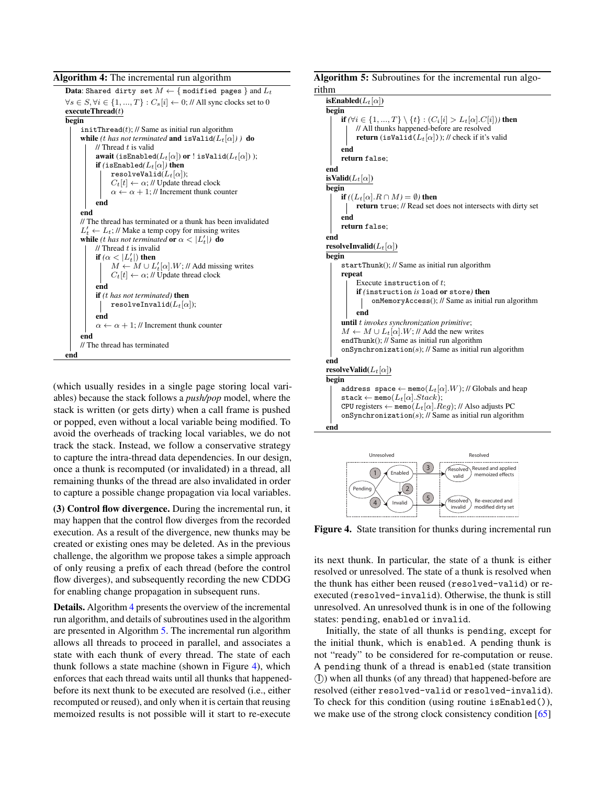<span id="page-5-0"></span>Algorithm 4: The incremental run algorithm

**Data:** Shared dirty set  $M \leftarrow \{$  modified pages  $\}$  and  $L_t$  $\forall s \in S, \forall i \in \{1, ..., T\} : C_s[i] \leftarrow 0; \text{ // All sync clocks set to } 0$ executeThread $(t)$ begin  $initThread(t)$ ; // Same as initial run algorithm while *(t has not terminated* and is Valid $(L_t[\alpha])$ ) do  $\frac{1}{\sqrt{2}}$  Thread t is valid await (isEnabled( $L_t[\alpha]$ ) or ! isValid( $L_t[\alpha]$ ) ); if  $(i$ sEnabled $(L_t[\alpha])$  then resolveValid( $L_t[\alpha]$ );  $C_t[t] \leftarrow \alpha$ ; // Update thread clock  $\alpha \leftarrow \alpha + 1$ ; // Increment thunk counter end end // The thread has terminated or a thunk has been invalidated  $L'_t \leftarrow L_t$ ; // Make a temp copy for missing writes while *(t has not terminated* or  $\alpha$  <  $|L'_t|$ ) do  $\frac{1}{\sqrt{2}}$  Thread t is invalid if  $(\alpha < |L'_t|)$  then  $M \leftarrow M \cup L'_t[\alpha]$ . W; // Add missing writes  $C_t[t] \leftarrow \alpha$ ; // Update thread clock end if *(*t *has not terminated)* then resolveInvalid $(L_t[\alpha])$ ; end  $\alpha \leftarrow \alpha + 1$ ; // Increment thunk counter end // The thread has terminated end

(which usually resides in a single page storing local variables) because the stack follows a *push/pop* model, where the stack is written (or gets dirty) when a call frame is pushed or popped, even without a local variable being modified. To avoid the overheads of tracking local variables, we do not track the stack. Instead, we follow a conservative strategy to capture the intra-thread data dependencies. In our design, once a thunk is recomputed (or invalidated) in a thread, all remaining thunks of the thread are also invalidated in order to capture a possible change propagation via local variables.

(3) Control flow divergence. During the incremental run, it may happen that the control flow diverges from the recorded execution. As a result of the divergence, new thunks may be created or existing ones may be deleted. As in the previous challenge, the algorithm we propose takes a simple approach of only reusing a prefix of each thread (before the control flow diverges), and subsequently recording the new CDDG for enabling change propagation in subsequent runs.

Details. Algorithm [4](#page-5-0) presents the overview of the incremental run algorithm, and details of subroutines used in the algorithm are presented in Algorithm [5.](#page-5-1) The incremental run algorithm allows all threads to proceed in parallel, and associates a state with each thunk of every thread. The state of each thunk follows a state machine (shown in Figure [4\)](#page-5-2), which enforces that each thread waits until all thunks that happenedbefore its next thunk to be executed are resolved (i.e., either recomputed or reused), and only when it is certain that reusing memoized results is not possible will it start to re-execute

<span id="page-5-1"></span>Algorithm 5: Subroutines for the incremental run algorithm





<span id="page-5-2"></span>Figure 4. State transition for thunks during incremental run

its next thunk. In particular, the state of a thunk is either resolved or unresolved. The state of a thunk is resolved when the thunk has either been reused (resolved-valid) or reexecuted (resolved-invalid). Otherwise, the thunk is still unresolved. An unresolved thunk is in one of the following states: pending, enabled or invalid.

Initially, the state of all thunks is pending, except for the initial thunk, which is enabled. A pending thunk is not "ready" to be considered for re-computation or reuse. A pending thunk of a thread is enabled (state transition 1 ) when all thunks (of any thread) that happened-before are resolved (either resolved-valid or resolved-invalid). To check for this condition (using routine isEnabled()), we make use of the strong clock consistency condition [\[65\]](#page-14-6)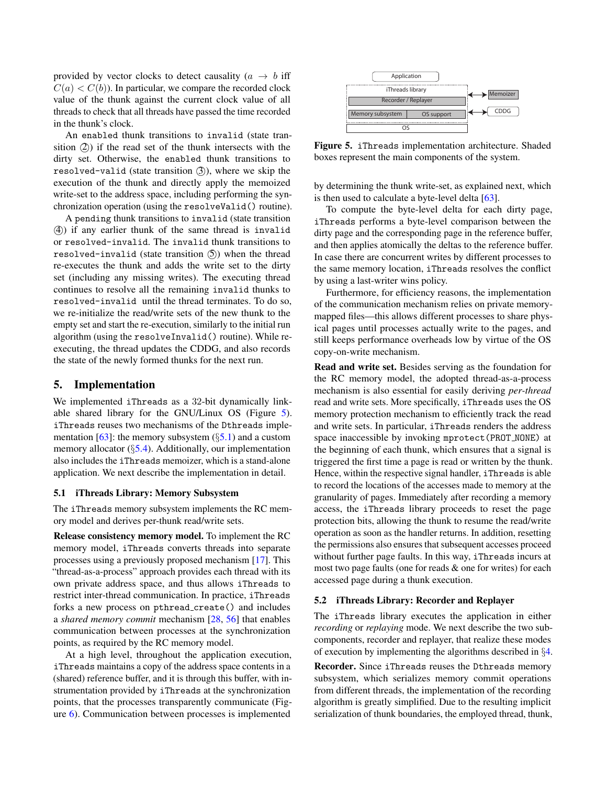provided by vector clocks to detect causality ( $a \rightarrow b$  iff  $C(a) < C(b)$ ). In particular, we compare the recorded clock value of the thunk against the current clock value of all threads to check that all threads have passed the time recorded in the thunk's clock.

An enabled thunk transitions to invalid (state transition  $(2)$ ) if the read set of the thunk intersects with the dirty set. Otherwise, the enabled thunk transitions to resolved-valid (state transition  $(3)$ ), where we skip the execution of the thunk and directly apply the memoized write-set to the address space, including performing the synchronization operation (using the resolveValid() routine).

A pending thunk transitions to invalid (state transition  $(4)$ ) if any earlier thunk of the same thread is invalid or resolved-invalid. The invalid thunk transitions to resolved-invalid (state transition  $(5)$ ) when the thread re-executes the thunk and adds the write set to the dirty set (including any missing writes). The executing thread continues to resolve all the remaining invalid thunks to resolved-invalid until the thread terminates. To do so, we re-initialize the read/write sets of the new thunk to the empty set and start the re-execution, similarly to the initial run algorithm (using the resolveInvalid() routine). While reexecuting, the thread updates the CDDG, and also records the state of the newly formed thunks for the next run.

# <span id="page-6-0"></span>5. Implementation

We implemented iThreads as a 32-bit dynamically linkable shared library for the GNU/Linux OS (Figure [5\)](#page-6-1). iThreads reuses two mechanisms of the Dthreads imple-mentation [\[63\]](#page-14-1): the memory subsystem  $(\S5.1)$  $(\S5.1)$  and a custom memory allocator (§[5.4\)](#page-7-1). Additionally, our implementation also includes the iThreads memoizer, which is a stand-alone application. We next describe the implementation in detail.

#### <span id="page-6-2"></span>5.1 iThreads Library: Memory Subsystem

The iThreads memory subsystem implements the RC memory model and derives per-thunk read/write sets.

Release consistency memory model. To implement the RC memory model, iThreads converts threads into separate processes using a previously proposed mechanism [\[17\]](#page-12-7). This "thread-as-a-process" approach provides each thread with its own private address space, and thus allows iThreads to restrict inter-thread communication. In practice, iThreads forks a new process on pthread create() and includes a *shared memory commit* mechanism [\[28,](#page-12-8) [56\]](#page-13-7) that enables communication between processes at the synchronization points, as required by the RC memory model.

At a high level, throughout the application execution, iThreads maintains a copy of the address space contents in a (shared) reference buffer, and it is through this buffer, with instrumentation provided by iThreads at the synchronization points, that the processes transparently communicate (Fig-



<span id="page-6-1"></span>Figure 5. iThreads implementation architecture. Shaded boxes represent the main components of the system.

by determining the thunk write-set, as explained next, which is then used to calculate a byte-level delta [\[63\]](#page-14-1).

To compute the byte-level delta for each dirty page, iThreads performs a byte-level comparison between the dirty page and the corresponding page in the reference buffer, and then applies atomically the deltas to the reference buffer. In case there are concurrent writes by different processes to the same memory location, iThreads resolves the conflict by using a last-writer wins policy.

Furthermore, for efficiency reasons, the implementation of the communication mechanism relies on private memorymapped files—this allows different processes to share physical pages until processes actually write to the pages, and still keeps performance overheads low by virtue of the OS copy-on-write mechanism.

Ure the three host distinguish is the communication of the communication of the communication of the communication of the communication of the communication of the communication of the communication of the communication Read and write set. Besides serving as the foundation for the RC memory model, the adopted thread-as-a-process mechanism is also essential for easily deriving *per-thread* read and write sets. More specifically, iThreads uses the OS memory protection mechanism to efficiently track the read and write sets. In particular, iThreads renders the address space inaccessible by invoking mprotect(PROT NONE) at the beginning of each thunk, which ensures that a signal is triggered the first time a page is read or written by the thunk. Hence, within the respective signal handler, iThreads is able to record the locations of the accesses made to memory at the granularity of pages. Immediately after recording a memory access, the iThreads library proceeds to reset the page protection bits, allowing the thunk to resume the read/write operation as soon as the handler returns. In addition, resetting the permissions also ensures that subsequent accesses proceed without further page faults. In this way, iThreads incurs at most two page faults (one for reads & one for writes) for each accessed page during a thunk execution.

#### 5.2 iThreads Library: Recorder and Replayer

The iThreads library executes the application in either *recording* or *replaying* mode. We next describe the two subcomponents, recorder and replayer, that realize these modes of execution by implementing the algorithms described in §[4.](#page-3-0)

Recorder. Since iThreads reuses the Dthreads memory subsystem, which serializes memory commit operations from different threads, the implementation of the recording algorithm is greatly simplified. Due to the resulting implicit serialization of thunk boundaries, the employed thread, thunk,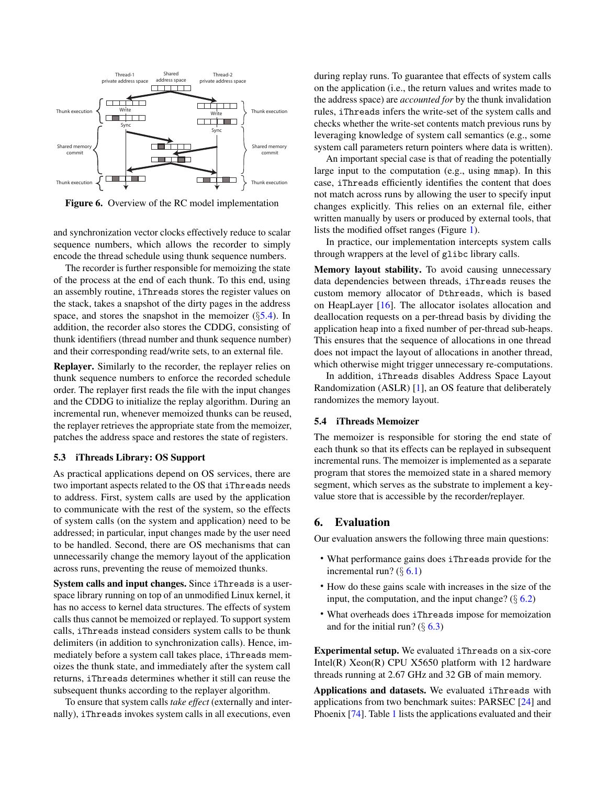

<span id="page-7-2"></span>Figure 6. Overview of the RC model implementation

and synchronization vector clocks effectively reduce to scalar sequence numbers, which allows the recorder to simply encode the thread schedule using thunk sequence numbers.

The recorder is further responsible for memoizing the state of the process at the end of each thunk. To this end, using an assembly routine, iThreads stores the register values on the stack, takes a snapshot of the dirty pages in the address space, and stores the snapshot in the memoizer  $(\S$ [5.4\)](#page-7-1). In addition, the recorder also stores the CDDG, consisting of thunk identifiers (thread number and thunk sequence number) and their corresponding read/write sets, to an external file.

Replayer. Similarly to the recorder, the replayer relies on thunk sequence numbers to enforce the recorded schedule order. The replayer first reads the file with the input changes and the CDDG to initialize the replay algorithm. During an incremental run, whenever memoized thunks can be reused, the replayer retrieves the appropriate state from the memoizer, patches the address space and restores the state of registers.

#### 5.3 iThreads Library: OS Support

As practical applications depend on OS services, there are two important aspects related to the OS that iThreads needs to address. First, system calls are used by the application to communicate with the rest of the system, so the effects of system calls (on the system and application) need to be addressed; in particular, input changes made by the user need to be handled. Second, there are OS mechanisms that can unnecessarily change the memory layout of the application across runs, preventing the reuse of memoized thunks.

System calls and input changes. Since iThreads is a userspace library running on top of an unmodified Linux kernel, it has no access to kernel data structures. The effects of system calls thus cannot be memoized or replayed. To support system calls, iThreads instead considers system calls to be thunk delimiters (in addition to synchronization calls). Hence, immediately before a system call takes place, iThreads memoizes the thunk state, and immediately after the system call returns, iThreads determines whether it still can reuse the subsequent thunks according to the replayer algorithm.

To ensure that system calls *take effect* (externally and internally), iThreads invokes system calls in all executions, even

during replay runs. To guarantee that effects of system calls on the application (i.e., the return values and writes made to the address space) are *accounted for* by the thunk invalidation rules, iThreads infers the write-set of the system calls and checks whether the write-set contents match previous runs by leveraging knowledge of system call semantics (e.g., some system call parameters return pointers where data is written).

An important special case is that of reading the potentially large input to the computation (e.g., using mmap). In this case, iThreads efficiently identifies the content that does not match across runs by allowing the user to specify input changes explicitly. This relies on an external file, either written manually by users or produced by external tools, that lists the modified offset ranges (Figure [1\)](#page-1-0).

In practice, our implementation intercepts system calls through wrappers at the level of glibc library calls.

Memory layout stability. To avoid causing unnecessary data dependencies between threads, iThreads reuses the custom memory allocator of Dthreads, which is based on HeapLayer [\[16\]](#page-12-9). The allocator isolates allocation and deallocation requests on a per-thread basis by dividing the application heap into a fixed number of per-thread sub-heaps. This ensures that the sequence of allocations in one thread does not impact the layout of allocations in another thread, which otherwise might trigger unnecessary re-computations.

In addition, iThreads disables Address Space Layout Randomization (ASLR) [\[1\]](#page-12-10), an OS feature that deliberately randomizes the memory layout.

#### <span id="page-7-1"></span>5.4 iThreads Memoizer

The memoizer is responsible for storing the end state of each thunk so that its effects can be replayed in subsequent incremental runs. The memoizer is implemented as a separate program that stores the memoized state in a shared memory segment, which serves as the substrate to implement a keyvalue store that is accessible by the recorder/replayer.

## <span id="page-7-0"></span>6. Evaluation

Our evaluation answers the following three main questions:

- What performance gains does iThreads provide for the incremental run?  $(\S 6.1)$  $(\S 6.1)$
- How do these gains scale with increases in the size of the input, the computation, and the input change?  $(\S 6.2)$  $(\S 6.2)$
- What overheads does iThreads impose for memoization and for the initial run?  $(\S 6.3)$  $(\S 6.3)$

Experimental setup. We evaluated iThreads on a six-core Intel(R)  $Xeon(R)$  CPU  $X5650$  platform with 12 hardware threads running at 2.67 GHz and 32 GB of main memory.

Applications and datasets. We evaluated iThreads with applications from two benchmark suites: PARSEC [\[24\]](#page-12-4) and Phoenix [\[74\]](#page-14-2). Table [1](#page-9-1) lists the applications evaluated and their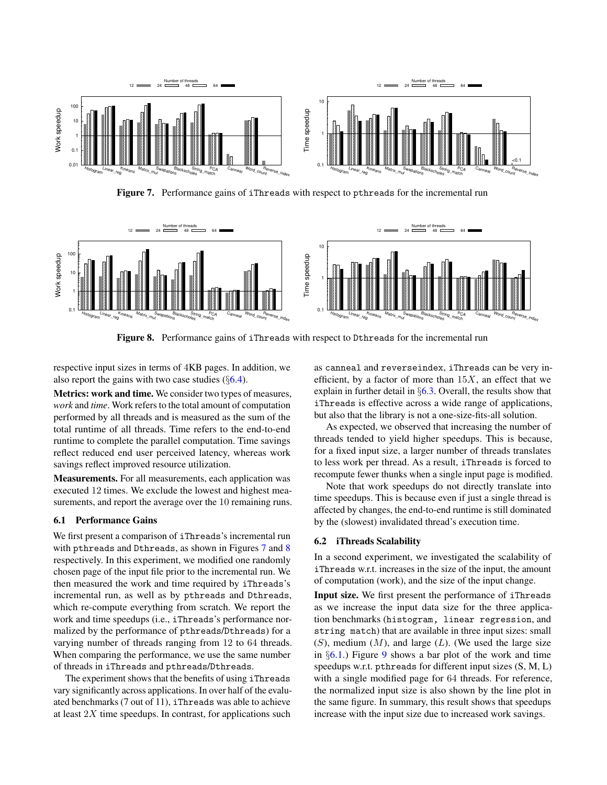

<span id="page-8-2"></span>Figure 7. Performance gains of iThreads with respect to pthreads for the incremental run



<span id="page-8-3"></span>Figure 8. Performance gains of iThreads with respect to Dthreads for the incremental run

respective input sizes in terms of 4KB pages. In addition, we also report the gains with two case studies  $(\S6.4)$  $(\S6.4)$ .

Metrics: work and time. We consider two types of measures, *work* and *time*. Work refers to the total amount of computation performed by all threads and is measured as the sum of the total runtime of all threads. Time refers to the end-to-end runtime to complete the parallel computation. Time savings reflect reduced end user perceived latency, whereas work savings reflect improved resource utilization.

Measurements. For all measurements, each application was executed 12 times. We exclude the lowest and highest measurements, and report the average over the 10 remaining runs.

## <span id="page-8-0"></span>6.1 Performance Gains

We first present a comparison of iThreads's incremental run with pthreads and Dthreads, as shown in Figures [7](#page-8-2) and [8](#page-8-3) respectively. In this experiment, we modified one randomly chosen page of the input file prior to the incremental run. We then measured the work and time required by iThreads's incremental run, as well as by pthreads and Dthreads, which re-compute everything from scratch. We report the work and time speedups (i.e., iThreads's performance normalized by the performance of pthreads/Dthreads) for a varying number of threads ranging from 12 to 64 threads. When comparing the performance, we use the same number of threads in iThreads and pthreads/Dthreads.

The experiment shows that the benefits of using iThreads vary significantly across applications. In over half of the evaluated benchmarks (7 out of 11), iThreads was able to achieve at least  $2X$  time speedups. In contrast, for applications such

as canneal and reverseindex, iThreads can be very inefficient, by a factor of more than  $15X$ , an effect that we explain in further detail in §[6.3.](#page-9-0) Overall, the results show that iThreads is effective across a wide range of applications, but also that the library is not a one-size-fits-all solution.

As expected, we observed that increasing the number of threads tended to yield higher speedups. This is because, for a fixed input size, a larger number of threads translates to less work per thread. As a result, iThreads is forced to recompute fewer thunks when a single input page is modified.

Note that work speedups do not directly translate into time speedups. This is because even if just a single thread is affected by changes, the end-to-end runtime is still dominated by the (slowest) invalidated thread's execution time.

#### <span id="page-8-1"></span>6.2 iThreads Scalability

In a second experiment, we investigated the scalability of iThreads w.r.t. increases in the size of the input, the amount of computation (work), and the size of the input change.

Input size. We first present the performance of iThreads as we increase the input data size for the three application benchmarks (histogram, linear regression, and string match) that are available in three input sizes: small  $(S)$ , medium  $(M)$ , and large  $(L)$ . (We used the large size in  $\S6.1$ .) Figure [9](#page-9-2) shows a bar plot of the work and time speedups w.r.t. pthreads for different input sizes (S, M, L) with a single modified page for 64 threads. For reference, the normalized input size is also shown by the line plot in the same figure. In summary, this result shows that speedups increase with the input size due to increased work savings.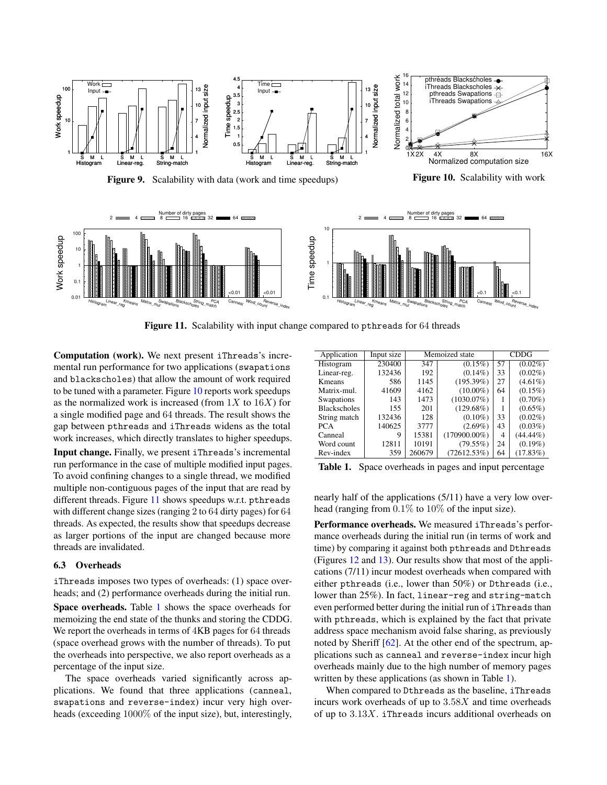

<span id="page-9-2"></span>

<span id="page-9-4"></span>Figure 11. Scalability with input change compared to pthreads for 64 threads

Computation (work). We next present iThreads's incremental run performance for two applications (swapations and blackscholes) that allow the amount of work required to be tuned with a parameter. Figure [10](#page-9-3) reports work speedups as the normalized work is increased (from  $1X$  to  $16X$ ) for a single modified page and 64 threads. The result shows the gap between pthreads and iThreads widens as the total work increases, which directly translates to higher speedups.

Input change. Finally, we present iThreads's incremental run performance in the case of multiple modified input pages. To avoid confining changes to a single thread, we modified multiple non-contiguous pages of the input that are read by different threads. Figure [11](#page-9-4) shows speedups w.r.t. pthreads with different change sizes (ranging 2 to 64 dirty pages) for 64 threads. As expected, the results show that speedups decrease as larger portions of the input are changed because more threads are invalidated.

#### <span id="page-9-0"></span>6.3 Overheads

iThreads imposes two types of overheads: (1) space overheads; and (2) performance overheads during the initial run. Space overheads. Table [1](#page-9-1) shows the space overheads for memoizing the end state of the thunks and storing the CDDG. We report the overheads in terms of 4KB pages for 64 threads (space overhead grows with the number of threads). To put the overheads into perspective, we also report overheads as a percentage of the input size.

The space overheads varied significantly across applications. We found that three applications (canneal, swapations and reverse-index) incur very high overheads (exceeding 1000% of the input size), but, interestingly,

<span id="page-9-3"></span>

| Application         | Input size | Memoized state |                 | <b>CDDG</b> |             |
|---------------------|------------|----------------|-----------------|-------------|-------------|
| Histogram           | 230400     | 347            | $(0.15\%)$      | 57          | $(0.02\%)$  |
| Linear-reg.         | 132436     | 192            | $(0.14\%)$      | 33          | $(0.02\%)$  |
| Kmeans              | 586        | 1145           | (195.39%)       | 27          | $(4.61\%)$  |
| Matrix-mul.         | 41609      | 4162           | $(10.00\%)$     | 64          | $(0.15\%)$  |
| Swapations          | 143        | 1473           | (1030.07%)      |             | $(0.70\%)$  |
| <b>Blackscholes</b> | 155        | 201            | (129.68%)       |             | $(0.65\%)$  |
| String match        | 132436     | 128            | $(0.10\%)$      | 33          | $(0.02\%)$  |
| <b>PCA</b>          | 140625     | 3777           | $(2.69\%)$      | 43          | $(0.03\%)$  |
| Canneal             | Q          | 15381          | $(170900.00\%)$ | 4           | $(44.44\%)$ |
| Word count          | 12811      | 10191          | (79.55%)        | 24          | $(0.19\%)$  |
| Rev-index           | 359        | 260679         | (72612.53%)     | 64          | (17.83%)    |

<span id="page-9-1"></span>Table 1. Space overheads in pages and input percentage

nearly half of the applications (5/11) have a very low overhead (ranging from  $0.1\%$  to  $10\%$  of the input size).

Performance overheads. We measured iThreads's performance overheads during the initial run (in terms of work and time) by comparing it against both pthreads and Dthreads (Figures [12](#page-10-2) and [13\)](#page-10-3). Our results show that most of the applications (7/11) incur modest overheads when compared with either pthreads (i.e., lower than 50%) or Dthreads (i.e., lower than 25%). In fact, linear-reg and string-match even performed better during the initial run of iThreads than with pthreads, which is explained by the fact that private address space mechanism avoid false sharing, as previously noted by Sheriff [\[62\]](#page-14-7). At the other end of the spectrum, applications such as canneal and reverse-index incur high overheads mainly due to the high number of memory pages written by these applications (as shown in Table [1\)](#page-9-1).

When compared to Dthreads as the baseline, iThreads incurs work overheads of up to 3.58X and time overheads of up to  $3.13X$ . iThreads incurs additional overheads on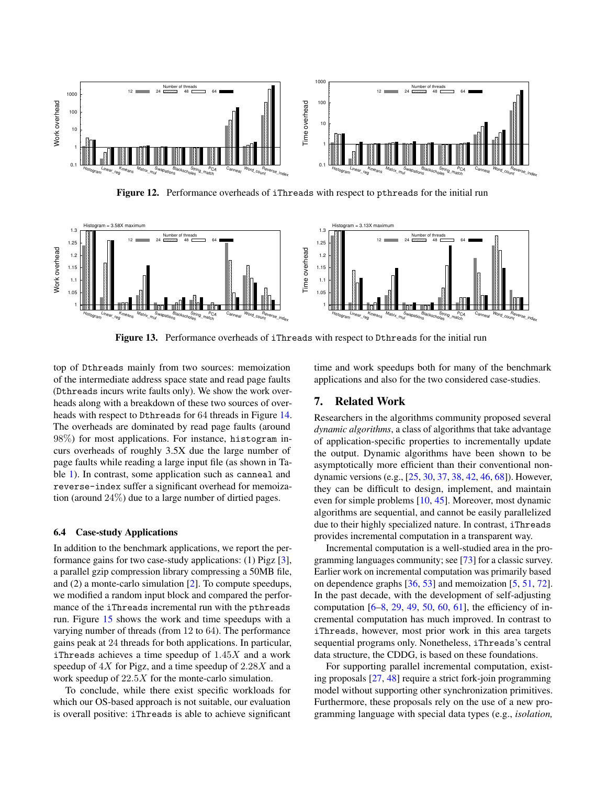

<span id="page-10-2"></span>Figure 12. Performance overheads of iThreads with respect to pthreads for the initial run



<span id="page-10-3"></span>Figure 13. Performance overheads of iThreads with respect to Dthreads for the initial run

top of Dthreads mainly from two sources: memoization of the intermediate address space state and read page faults (Dthreads incurs write faults only). We show the work overheads along with a breakdown of these two sources of overheads with respect to Dthreads for 64 threads in Figure [14.](#page-11-1) The overheads are dominated by read page faults (around 98%) for most applications. For instance, histogram incurs overheads of roughly 3.5X due the large number of page faults while reading a large input file (as shown in Table [1\)](#page-9-1). In contrast, some application such as canneal and reverse-index suffer a significant overhead for memoization (around 24%) due to a large number of dirtied pages.

#### <span id="page-10-1"></span>6.4 Case-study Applications

In addition to the benchmark applications, we report the performance gains for two case-study applications: (1) Pigz [\[3\]](#page-12-11), a parallel gzip compression library compressing a 50MB file, and (2) a monte-carlo simulation [\[2\]](#page-12-12). To compute speedups, we modified a random input block and compared the performance of the iThreads incremental run with the pthreads run. Figure [15](#page-11-2) shows the work and time speedups with a varying number of threads (from 12 to 64). The performance gains peak at 24 threads for both applications. In particular, iThreads achieves a time speedup of  $1.45X$  and a work speedup of  $4X$  for Pigz, and a time speedup of  $2.28X$  and a work speedup of 22.5X for the monte-carlo simulation.

To conclude, while there exist specific workloads for which our OS-based approach is not suitable, our evaluation is overall positive: iThreads is able to achieve significant time and work speedups both for many of the benchmark applications and also for the two considered case-studies.

## <span id="page-10-0"></span>7. Related Work

Researchers in the algorithms community proposed several *dynamic algorithms*, a class of algorithms that take advantage of application-specific properties to incrementally update the output. Dynamic algorithms have been shown to be asymptotically more efficient than their conventional nondynamic versions (e.g., [\[25,](#page-12-0) [30,](#page-12-1) [37,](#page-13-0) [38,](#page-13-1) [42,](#page-13-2) [46,](#page-13-3) [68\]](#page-14-0)). However, they can be difficult to design, implement, and maintain even for simple problems [\[10,](#page-12-13) [45\]](#page-13-8). Moreover, most dynamic algorithms are sequential, and cannot be easily parallelized due to their highly specialized nature. In contrast, iThreads provides incremental computation in a transparent way.

Incremental computation is a well-studied area in the programming languages community; see [\[73\]](#page-14-8) for a classic survey. Earlier work on incremental computation was primarily based on dependence graphs [\[36,](#page-13-9) [53\]](#page-13-10) and memoization [\[5,](#page-12-14) [51,](#page-13-11) [72\]](#page-14-9). In the past decade, with the development of self-adjusting computation  $[6-8, 29, 49, 50, 60, 61]$  $[6-8, 29, 49, 50, 60, 61]$  $[6-8, 29, 49, 50, 60, 61]$  $[6-8, 29, 49, 50, 60, 61]$  $[6-8, 29, 49, 50, 60, 61]$  $[6-8, 29, 49, 50, 60, 61]$  $[6-8, 29, 49, 50, 60, 61]$  $[6-8, 29, 49, 50, 60, 61]$  $[6-8, 29, 49, 50, 60, 61]$  $[6-8, 29, 49, 50, 60, 61]$  $[6-8, 29, 49, 50, 60, 61]$ , the efficiency of incremental computation has much improved. In contrast to iThreads, however, most prior work in this area targets sequential programs only. Nonetheless, iThreads's central data structure, the CDDG, is based on these foundations.

For supporting parallel incremental computation, existing proposals [\[27,](#page-12-3) [48\]](#page-13-4) require a strict fork-join programming model without supporting other synchronization primitives. Furthermore, these proposals rely on the use of a new programming language with special data types (e.g., *isolation,*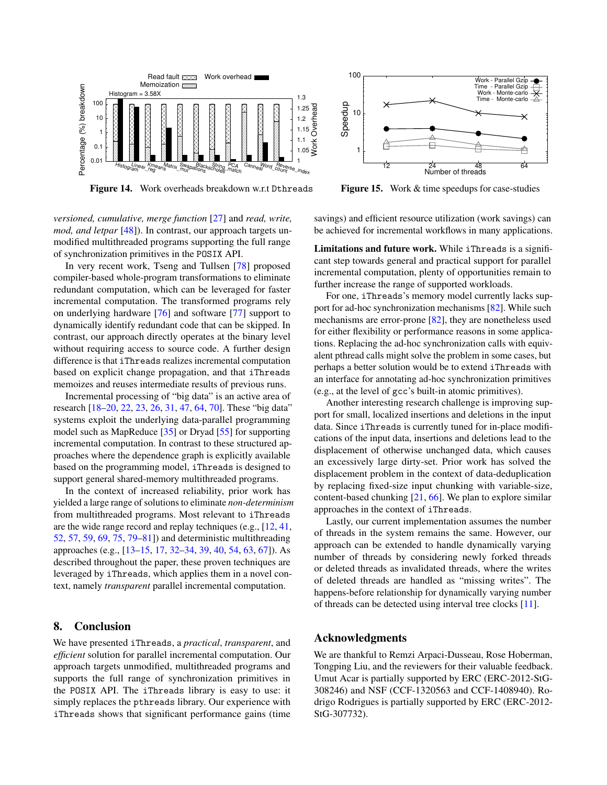

<span id="page-11-1"></span>Figure 14. Work overheads breakdown w.r.t Dthreads

*versioned, cumulative, merge function* [\[27\]](#page-12-3) and *read, write, mod, and letpar* [\[48\]](#page-13-4)). In contrast, our approach targets unmodified multithreaded programs supporting the full range of synchronization primitives in the POSIX API.

In very recent work, Tseng and Tullsen [\[78\]](#page-14-12) proposed compiler-based whole-program transformations to eliminate redundant computation, which can be leveraged for faster incremental computation. The transformed programs rely on underlying hardware [\[76\]](#page-14-13) and software [\[77\]](#page-14-14) support to dynamically identify redundant code that can be skipped. In contrast, our approach directly operates at the binary level without requiring access to source code. A further design difference is that iThreads realizes incremental computation based on explicit change propagation, and that iThreads memoizes and reuses intermediate results of previous runs.

Incremental processing of "big data" is an active area of research [\[18](#page-12-17)[–20,](#page-12-18) [22,](#page-12-19) [23,](#page-12-20) [26,](#page-12-21) [31,](#page-13-14) [47,](#page-13-15) [64,](#page-14-15) [70\]](#page-14-16). These "big data" systems exploit the underlying data-parallel programming model such as MapReduce [\[35\]](#page-13-16) or Dryad [\[55\]](#page-13-17) for supporting incremental computation. In contrast to these structured approaches where the dependence graph is explicitly available based on the programming model, iThreads is designed to support general shared-memory multithreaded programs.

In the context of increased reliability, prior work has yielded a large range of solutions to eliminate *non-determinism* from multithreaded programs. Most relevant to iThreads are the wide range record and replay techniques (e.g., [\[12,](#page-12-22) [41,](#page-13-18) [52,](#page-13-19) [57,](#page-13-20) [59,](#page-14-17) [69,](#page-14-18) [75,](#page-14-19) [79–](#page-14-20)[81\]](#page-14-21)) and deterministic multithreading approaches (e.g., [\[13](#page-12-23)[–15,](#page-12-24) [17,](#page-12-7) [32](#page-13-21)[–34,](#page-13-22) [39,](#page-13-23) [40,](#page-13-24) [54,](#page-13-25) [63,](#page-14-1) [67\]](#page-14-22)). As described throughout the paper, these proven techniques are leveraged by iThreads, which applies them in a novel context, namely *transparent* parallel incremental computation.

# <span id="page-11-0"></span>8. Conclusion

We have presented iThreads, a *practical*, *transparent*, and *efficient* solution for parallel incremental computation. Our approach targets unmodified, multithreaded programs and supports the full range of synchronization primitives in the POSIX API. The iThreads library is easy to use: it simply replaces the pthreads library. Our experience with iThreads shows that significant performance gains (time



<span id="page-11-2"></span>Figure 15. Work & time speedups for case-studies

savings) and efficient resource utilization (work savings) can be achieved for incremental workflows in many applications.

Limitations and future work. While iThreads is a significant step towards general and practical support for parallel incremental computation, plenty of opportunities remain to further increase the range of supported workloads.

For one, iThreads's memory model currently lacks support for ad-hoc synchronization mechanisms [\[82\]](#page-14-4). While such mechanisms are error-prone [\[82\]](#page-14-4), they are nonetheless used for either flexibility or performance reasons in some applications. Replacing the ad-hoc synchronization calls with equivalent pthread calls might solve the problem in some cases, but perhaps a better solution would be to extend iThreads with an interface for annotating ad-hoc synchronization primitives (e.g., at the level of gcc's built-in atomic primitives).

Another interesting research challenge is improving support for small, localized insertions and deletions in the input data. Since iThreads is currently tuned for in-place modifications of the input data, insertions and deletions lead to the displacement of otherwise unchanged data, which causes an excessively large dirty-set. Prior work has solved the displacement problem in the context of data-deduplication by replacing fixed-size input chunking with variable-size, content-based chunking [\[21,](#page-12-25) [66\]](#page-14-23). We plan to explore similar approaches in the context of iThreads.

Lastly, our current implementation assumes the number of threads in the system remains the same. However, our approach can be extended to handle dynamically varying number of threads by considering newly forked threads or deleted threads as invalidated threads, where the writes of deleted threads are handled as "missing writes". The happens-before relationship for dynamically varying number of threads can be detected using interval tree clocks [\[11\]](#page-12-26).

## Acknowledgments

We are thankful to Remzi Arpaci-Dusseau, Rose Hoberman, Tongping Liu, and the reviewers for their valuable feedback. Umut Acar is partially supported by ERC (ERC-2012-StG-308246) and NSF (CCF-1320563 and CCF-1408940). Rodrigo Rodrigues is partially supported by ERC (ERC-2012- StG-307732).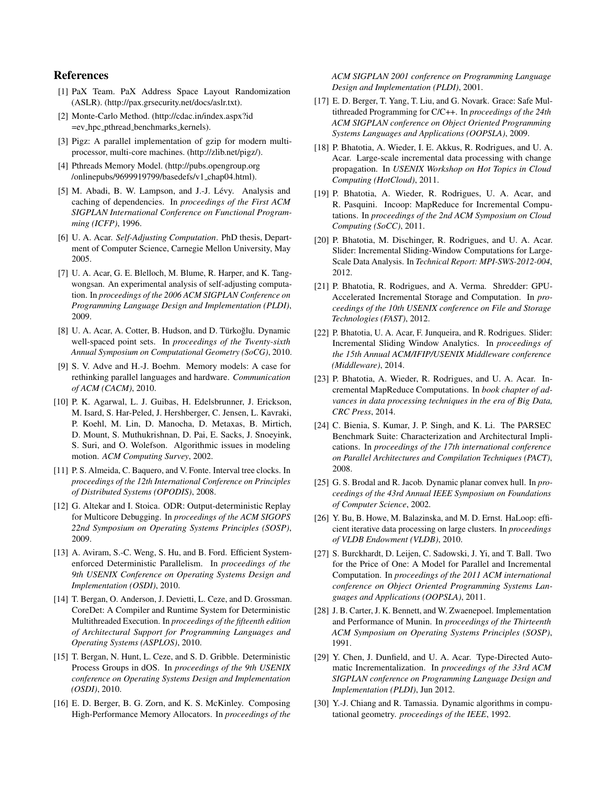# References

- <span id="page-12-10"></span>[1] PaX Team. PaX Address Space Layout Randomization (ASLR). (http://pax.grsecurity.net/docs/aslr.txt).
- <span id="page-12-12"></span>[2] Monte-Carlo Method. (http://cdac.in/index.aspx?id =ev hpc pthread benchmarks kernels).
- <span id="page-12-11"></span>[3] Pigz: A parallel implementation of gzip for modern multiprocessor, multi-core machines. (http://zlib.net/pigz/).
- <span id="page-12-6"></span>[4] Pthreads Memory Model. (http://pubs.opengroup.org /onlinepubs/9699919799/basedefs/v1 chap04.html).
- <span id="page-12-14"></span>[5] M. Abadi, B. W. Lampson, and J.-J. Lévy. Analysis and caching of dependencies. In *proceedings of the First ACM SIGPLAN International Conference on Functional Programming (ICFP)*, 1996.
- <span id="page-12-2"></span>[6] U. A. Acar. *Self-Adjusting Computation*. PhD thesis, Department of Computer Science, Carnegie Mellon University, May 2005.
- [7] U. A. Acar, G. E. Blelloch, M. Blume, R. Harper, and K. Tangwongsan. An experimental analysis of self-adjusting computation. In *proceedings of the 2006 ACM SIGPLAN Conference on Programming Language Design and Implementation (PLDI)*, 2009.
- <span id="page-12-15"></span>[8] U. A. Acar, A. Cotter, B. Hudson, and D. Türkoğlu. Dynamic well-spaced point sets. In *proceedings of the Twenty-sixth Annual Symposium on Computational Geometry (SoCG)*, 2010.
- <span id="page-12-5"></span>[9] S. V. Adve and H.-J. Boehm. Memory models: A case for rethinking parallel languages and hardware. *Communication of ACM (CACM)*, 2010.
- <span id="page-12-13"></span>[10] P. K. Agarwal, L. J. Guibas, H. Edelsbrunner, J. Erickson, M. Isard, S. Har-Peled, J. Hershberger, C. Jensen, L. Kavraki, P. Koehl, M. Lin, D. Manocha, D. Metaxas, B. Mirtich, D. Mount, S. Muthukrishnan, D. Pai, E. Sacks, J. Snoeyink, S. Suri, and O. Wolefson. Algorithmic issues in modeling motion. *ACM Computing Survey*, 2002.
- <span id="page-12-26"></span>[11] P. S. Almeida, C. Baquero, and V. Fonte. Interval tree clocks. In *proceedings of the 12th International Conference on Principles of Distributed Systems (OPODIS)*, 2008.
- <span id="page-12-22"></span>[12] G. Altekar and I. Stoica. ODR: Output-deterministic Replay for Multicore Debugging. In *proceedings of the ACM SIGOPS 22nd Symposium on Operating Systems Principles (SOSP)*, 2009.
- <span id="page-12-23"></span>[13] A. Aviram, S.-C. Weng, S. Hu, and B. Ford. Efficient Systemenforced Deterministic Parallelism. In *proceedings of the 9th USENIX Conference on Operating Systems Design and Implementation (OSDI)*, 2010.
- [14] T. Bergan, O. Anderson, J. Devietti, L. Ceze, and D. Grossman. CoreDet: A Compiler and Runtime System for Deterministic Multithreaded Execution. In *proceedings of the fifteenth edition of Architectural Support for Programming Languages and Operating Systems (ASPLOS)*, 2010.
- <span id="page-12-24"></span>[15] T. Bergan, N. Hunt, L. Ceze, and S. D. Gribble. Deterministic Process Groups in dOS. In *proceedings of the 9th USENIX conference on Operating Systems Design and Implementation (OSDI)*, 2010.
- <span id="page-12-9"></span>[16] E. D. Berger, B. G. Zorn, and K. S. McKinley. Composing High-Performance Memory Allocators. In *proceedings of the*

*ACM SIGPLAN 2001 conference on Programming Language Design and Implementation (PLDI)*, 2001.

- <span id="page-12-7"></span>[17] E. D. Berger, T. Yang, T. Liu, and G. Novark. Grace: Safe Multithreaded Programming for C/C++. In *proceedings of the 24th ACM SIGPLAN conference on Object Oriented Programming Systems Languages and Applications (OOPSLA)*, 2009.
- <span id="page-12-17"></span>[18] P. Bhatotia, A. Wieder, I. E. Akkus, R. Rodrigues, and U. A. Acar. Large-scale incremental data processing with change propagation. In *USENIX Workshop on Hot Topics in Cloud Computing (HotCloud)*, 2011.
- [19] P. Bhatotia, A. Wieder, R. Rodrigues, U. A. Acar, and R. Pasquini. Incoop: MapReduce for Incremental Computations. In *proceedings of the 2nd ACM Symposium on Cloud Computing (SoCC)*, 2011.
- <span id="page-12-18"></span>[20] P. Bhatotia, M. Dischinger, R. Rodrigues, and U. A. Acar. Slider: Incremental Sliding-Window Computations for Large-Scale Data Analysis. In *Technical Report: MPI-SWS-2012-004*, 2012.
- <span id="page-12-25"></span>[21] P. Bhatotia, R. Rodrigues, and A. Verma. Shredder: GPU-Accelerated Incremental Storage and Computation. In *proceedings of the 10th USENIX conference on File and Storage Technologies (FAST)*, 2012.
- <span id="page-12-19"></span>[22] P. Bhatotia, U. A. Acar, F. Junqueira, and R. Rodrigues. Slider: Incremental Sliding Window Analytics. In *proceedings of the 15th Annual ACM/IFIP/USENIX Middleware conference (Middleware)*, 2014.
- <span id="page-12-20"></span>[23] P. Bhatotia, A. Wieder, R. Rodrigues, and U. A. Acar. Incremental MapReduce Computations. In *book chapter of advances in data processing techniques in the era of Big Data, CRC Press*, 2014.
- <span id="page-12-4"></span>[24] C. Bienia, S. Kumar, J. P. Singh, and K. Li. The PARSEC Benchmark Suite: Characterization and Architectural Implications. In *proceedings of the 17th international conference on Parallel Architectures and Compilation Techniques (PACT)*, 2008.
- <span id="page-12-0"></span>[25] G. S. Brodal and R. Jacob. Dynamic planar convex hull. In *proceedings of the 43rd Annual IEEE Symposium on Foundations of Computer Science*, 2002.
- <span id="page-12-21"></span>[26] Y. Bu, B. Howe, M. Balazinska, and M. D. Ernst. HaLoop: efficient iterative data processing on large clusters. In *proceedings of VLDB Endowment (VLDB)*, 2010.
- <span id="page-12-3"></span>[27] S. Burckhardt, D. Leijen, C. Sadowski, J. Yi, and T. Ball. Two for the Price of One: A Model for Parallel and Incremental Computation. In *proceedings of the 2011 ACM international conference on Object Oriented Programming Systems Languages and Applications (OOPSLA)*, 2011.
- <span id="page-12-8"></span>[28] J. B. Carter, J. K. Bennett, and W. Zwaenepoel. Implementation and Performance of Munin. In *proceedings of the Thirteenth ACM Symposium on Operating Systems Principles (SOSP)*, 1991.
- <span id="page-12-16"></span>[29] Y. Chen, J. Dunfield, and U. A. Acar. Type-Directed Automatic Incrementalization. In *proceedings of the 33rd ACM SIGPLAN conference on Programming Language Design and Implementation (PLDI)*, Jun 2012.
- <span id="page-12-1"></span>[30] Y.-J. Chiang and R. Tamassia. Dynamic algorithms in computational geometry. *proceedings of the IEEE*, 1992.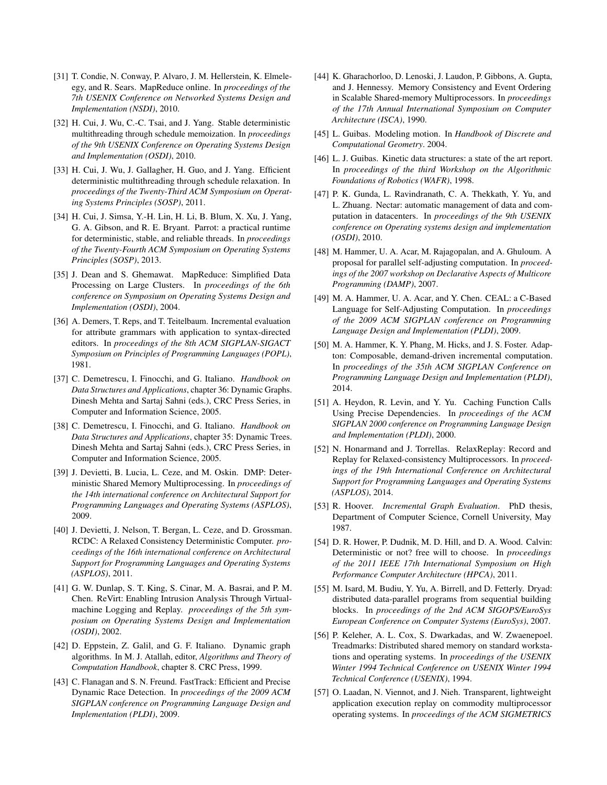- <span id="page-13-14"></span>[31] T. Condie, N. Conway, P. Alvaro, J. M. Hellerstein, K. Elmeleegy, and R. Sears. MapReduce online. In *proceedings of the 7th USENIX Conference on Networked Systems Design and Implementation (NSDI)*, 2010.
- <span id="page-13-21"></span>[32] H. Cui, J. Wu, C.-C. Tsai, and J. Yang. Stable deterministic multithreading through schedule memoization. In *proceedings of the 9th USENIX Conference on Operating Systems Design and Implementation (OSDI)*, 2010.
- [33] H. Cui, J. Wu, J. Gallagher, H. Guo, and J. Yang. Efficient deterministic multithreading through schedule relaxation. In *proceedings of the Twenty-Third ACM Symposium on Operating Systems Principles (SOSP)*, 2011.
- <span id="page-13-22"></span>[34] H. Cui, J. Simsa, Y.-H. Lin, H. Li, B. Blum, X. Xu, J. Yang, G. A. Gibson, and R. E. Bryant. Parrot: a practical runtime for deterministic, stable, and reliable threads. In *proceedings of the Twenty-Fourth ACM Symposium on Operating Systems Principles (SOSP)*, 2013.
- <span id="page-13-16"></span>[35] J. Dean and S. Ghemawat. MapReduce: Simplified Data Processing on Large Clusters. In *proceedings of the 6th conference on Symposium on Operating Systems Design and Implementation (OSDI)*, 2004.
- <span id="page-13-9"></span>[36] A. Demers, T. Reps, and T. Teitelbaum. Incremental evaluation for attribute grammars with application to syntax-directed editors. In *proceedings of the 8th ACM SIGPLAN-SIGACT Symposium on Principles of Programming Languages (POPL)*, 1981.
- <span id="page-13-0"></span>[37] C. Demetrescu, I. Finocchi, and G. Italiano. *Handbook on Data Structures and Applications*, chapter 36: Dynamic Graphs. Dinesh Mehta and Sartaj Sahni (eds.), CRC Press Series, in Computer and Information Science, 2005.
- <span id="page-13-1"></span>[38] C. Demetrescu, I. Finocchi, and G. Italiano. *Handbook on Data Structures and Applications*, chapter 35: Dynamic Trees. Dinesh Mehta and Sartaj Sahni (eds.), CRC Press Series, in Computer and Information Science, 2005.
- <span id="page-13-23"></span>[39] J. Devietti, B. Lucia, L. Ceze, and M. Oskin. DMP: Deterministic Shared Memory Multiprocessing. In *proceedings of the 14th international conference on Architectural Support for Programming Languages and Operating Systems (ASPLOS)*, 2009.
- <span id="page-13-24"></span>[40] J. Devietti, J. Nelson, T. Bergan, L. Ceze, and D. Grossman. RCDC: A Relaxed Consistency Deterministic Computer. *proceedings of the 16th international conference on Architectural Support for Programming Languages and Operating Systems (ASPLOS)*, 2011.
- <span id="page-13-18"></span>[41] G. W. Dunlap, S. T. King, S. Cinar, M. A. Basrai, and P. M. Chen. ReVirt: Enabling Intrusion Analysis Through Virtualmachine Logging and Replay. *proceedings of the 5th symposium on Operating Systems Design and Implementation (OSDI)*, 2002.
- <span id="page-13-2"></span>[42] D. Eppstein, Z. Galil, and G. F. Italiano. Dynamic graph algorithms. In M. J. Atallah, editor, *Algorithms and Theory of Computation Handbook*, chapter 8. CRC Press, 1999.
- <span id="page-13-6"></span>[43] C. Flanagan and S. N. Freund. FastTrack: Efficient and Precise Dynamic Race Detection. In *proceedings of the 2009 ACM SIGPLAN conference on Programming Language Design and Implementation (PLDI)*, 2009.
- <span id="page-13-5"></span>[44] K. Gharachorloo, D. Lenoski, J. Laudon, P. Gibbons, A. Gupta, and J. Hennessy. Memory Consistency and Event Ordering in Scalable Shared-memory Multiprocessors. In *proceedings of the 17th Annual International Symposium on Computer Architecture (ISCA)*, 1990.
- <span id="page-13-8"></span>[45] L. Guibas. Modeling motion. In *Handbook of Discrete and Computational Geometry*. 2004.
- <span id="page-13-3"></span>[46] L. J. Guibas. Kinetic data structures: a state of the art report. In *proceedings of the third Workshop on the Algorithmic Foundations of Robotics (WAFR)*, 1998.
- <span id="page-13-15"></span>[47] P. K. Gunda, L. Ravindranath, C. A. Thekkath, Y. Yu, and L. Zhuang. Nectar: automatic management of data and computation in datacenters. In *proceedings of the 9th USENIX conference on Operating systems design and implementation (OSDI)*, 2010.
- <span id="page-13-4"></span>[48] M. Hammer, U. A. Acar, M. Rajagopalan, and A. Ghuloum. A proposal for parallel self-adjusting computation. In *proceedings of the 2007 workshop on Declarative Aspects of Multicore Programming (DAMP)*, 2007.
- <span id="page-13-12"></span>[49] M. A. Hammer, U. A. Acar, and Y. Chen. CEAL: a C-Based Language for Self-Adjusting Computation. In *proceedings of the 2009 ACM SIGPLAN conference on Programming Language Design and Implementation (PLDI)*, 2009.
- <span id="page-13-13"></span>[50] M. A. Hammer, K. Y. Phang, M. Hicks, and J. S. Foster. Adapton: Composable, demand-driven incremental computation. In *proceedings of the 35th ACM SIGPLAN Conference on Programming Language Design and Implementation (PLDI)*, 2014.
- <span id="page-13-11"></span>[51] A. Heydon, R. Levin, and Y. Yu. Caching Function Calls Using Precise Dependencies. In *proceedings of the ACM SIGPLAN 2000 conference on Programming Language Design and Implementation (PLDI)*, 2000.
- <span id="page-13-19"></span>[52] N. Honarmand and J. Torrellas. RelaxReplay: Record and Replay for Relaxed-consistency Multiprocessors. In *proceedings of the 19th International Conference on Architectural Support for Programming Languages and Operating Systems (ASPLOS)*, 2014.
- <span id="page-13-10"></span>[53] R. Hoover. *Incremental Graph Evaluation*. PhD thesis, Department of Computer Science, Cornell University, May 1987.
- <span id="page-13-25"></span>[54] D. R. Hower, P. Dudnik, M. D. Hill, and D. A. Wood. Calvin: Deterministic or not? free will to choose. In *proceedings of the 2011 IEEE 17th International Symposium on High Performance Computer Architecture (HPCA)*, 2011.
- <span id="page-13-17"></span>[55] M. Isard, M. Budiu, Y. Yu, A. Birrell, and D. Fetterly. Dryad: distributed data-parallel programs from sequential building blocks. In *proceedings of the 2nd ACM SIGOPS/EuroSys European Conference on Computer Systems (EuroSys)*, 2007.
- <span id="page-13-7"></span>[56] P. Keleher, A. L. Cox, S. Dwarkadas, and W. Zwaenepoel. Treadmarks: Distributed shared memory on standard workstations and operating systems. In *proceedings of the USENIX Winter 1994 Technical Conference on USENIX Winter 1994 Technical Conference (USENIX)*, 1994.
- <span id="page-13-20"></span>[57] O. Laadan, N. Viennot, and J. Nieh. Transparent, lightweight application execution replay on commodity multiprocessor operating systems. In *proceedings of the ACM SIGMETRICS*